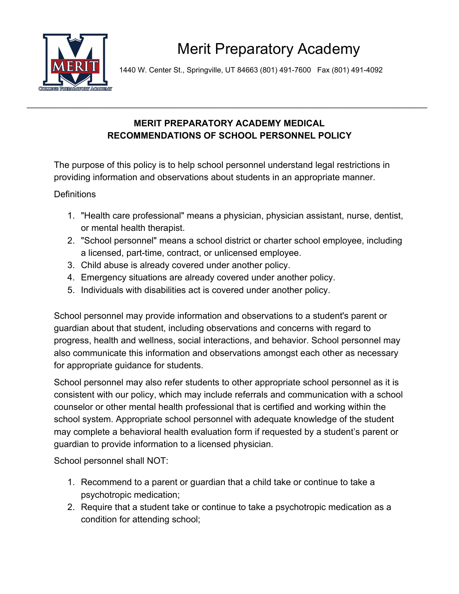

1440 W. Center St., Springville, UT 84663 (801) 491-7600 Fax (801) 491-4092

## **MERIT PREPARATORY ACADEMY MEDICAL RECOMMENDATIONS OF SCHOOL PERSONNEL POLICY**

\_\_\_\_\_\_\_\_\_\_\_\_\_\_\_\_\_\_\_\_\_\_\_\_\_\_\_\_\_\_\_\_\_\_\_\_\_\_\_\_\_\_\_\_\_\_\_\_\_\_\_\_\_\_\_\_\_\_\_\_\_\_\_\_\_\_\_\_\_\_\_\_\_\_\_\_\_\_\_\_\_\_\_\_\_\_\_

The purpose of this policy is to help school personnel understand legal restrictions in providing information and observations about students in an appropriate manner.

**Definitions** 

- 1. "Health care professional" means a physician, physician assistant, nurse, dentist, or mental health therapist.
- 2. "School personnel" means a school district or charter school employee, including a licensed, part-time, contract, or unlicensed employee.
- 3. Child abuse is already covered under another policy.
- 4. Emergency situations are already covered under another policy.
- 5. Individuals with disabilities act is covered under another policy.

School personnel may provide information and observations to a student's parent or guardian about that student, including observations and concerns with regard to progress, health and wellness, social interactions, and behavior. School personnel may also communicate this information and observations amongst each other as necessary for appropriate guidance for students.

School personnel may also refer students to other appropriate school personnel as it is consistent with our policy, which may include referrals and communication with a school counselor or other mental health professional that is certified and working within the school system. Appropriate school personnel with adequate knowledge of the student may complete a behavioral health evaluation form if requested by a student's parent or guardian to provide information to a licensed physician.

School personnel shall NOT:

- 1. Recommend to a parent or guardian that a child take or continue to take a psychotropic medication;
- 2. Require that a student take or continue to take a psychotropic medication as a condition for attending school;